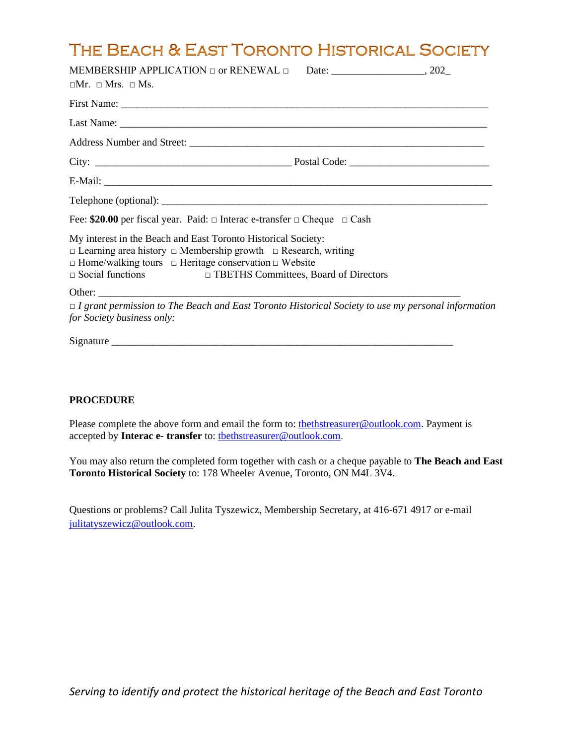## THE BEACH & EAST TORONTO HISTORICAL SOCIETY

| $\square$ Mr. $\square$ Mrs. $\square$ Ms.                                                                                                      |  |
|-------------------------------------------------------------------------------------------------------------------------------------------------|--|
|                                                                                                                                                 |  |
|                                                                                                                                                 |  |
|                                                                                                                                                 |  |
|                                                                                                                                                 |  |
|                                                                                                                                                 |  |
|                                                                                                                                                 |  |
| Fee: \$20.00 per fiscal year. Paid: $\Box$ Interac e-transfer $\Box$ Cheque $\Box$ Cash                                                         |  |
| My interest in the Beach and East Toronto Historical Society:<br>$\Box$ Learning area history $\Box$ Membership growth $\Box$ Research, writing |  |
| $\Box$ Home/walking tours $\Box$ Heritage conservation $\Box$ Website<br>□ Social functions □ TBETHS Committees, Board of Directors             |  |
| $\Box$ I grant permission to The Beach and East Toronto Historical Society to use my personal information<br>for Society business only:         |  |
|                                                                                                                                                 |  |

## **PROCEDURE**

Please complete the above form and email the form to: the the streasurer@outlook.com. Payment is accepted by **Interac e- transfer** to: [tbethstreasurer@outlook.com.](mailto:tbethstreasurer@outlook.com)

You may also return the completed form together with cash or a cheque payable to **The Beach and East Toronto Historical Society** to: 178 Wheeler Avenue, Toronto, ON M4L 3V4.

Questions or problems? Call Julita Tyszewicz, Membership Secretary, at 416-671 4917 or e-mail [julitatyszewicz@outlook.com.](mailto:julitatyszewicz@outlook.com)